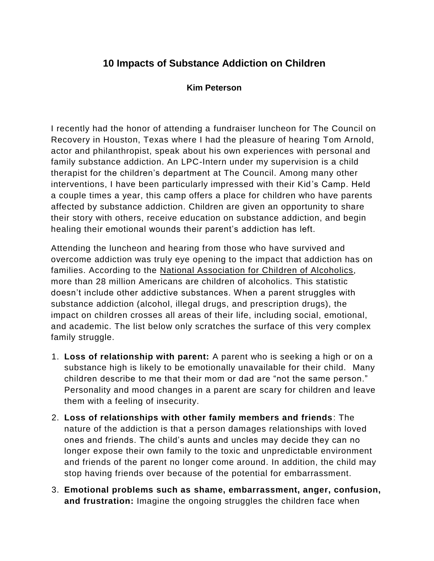## **10 Impacts of Substance Addiction on Children**

## **Kim Peterson**

I recently had the honor of attending a fundraiser luncheon for The Council on Recovery in Houston, Texas where I had the pleasure of hearing Tom Arnold, actor and philanthropist, speak about his own experiences with personal and family substance addiction. An LPC-Intern under my supervision is a child therapist for the children's department at The Council. Among many other interventions, I have been particularly impressed with their Kid's Camp. Held a couple times a year, this camp offers a place for children who have parents affected by substance addiction. Children are given an opportunity to share their story with others, receive education on substance addiction, and begin healing their emotional wounds their parent's addiction has left.

Attending the luncheon and hearing from those who have survived and overcome addiction was truly eye opening to the impact that addiction has on families. According to the National Association for Children of Alcoholics, more than 28 million Americans are children of alcoholics. This statistic doesn't include other addictive substances. When a parent struggles with substance addiction (alcohol, illegal drugs, and prescription drugs), the impact on children crosses all areas of their life, including social, emotional, and academic. The list below only scratches the surface of this very complex family struggle.

- 1. **Loss of relationship with parent:** A parent who is seeking a high or on a substance high is likely to be emotionally unavailable for their child. Many children describe to me that their mom or dad are "not the same person." Personality and mood changes in a parent are scary for children and leave them with a feeling of insecurity.
- 2. **Loss of relationships with other family members and friends**: The nature of the addiction is that a person damages relationships with loved ones and friends. The child's aunts and uncles may decide they can no longer expose their own family to the toxic and unpredictable environment and friends of the parent no longer come around. In addition, the child may stop having friends over because of the potential for embarrassment.
- 3. **Emotional problems such as shame, embarrassment, anger, confusion, and frustration:** Imagine the ongoing struggles the children face when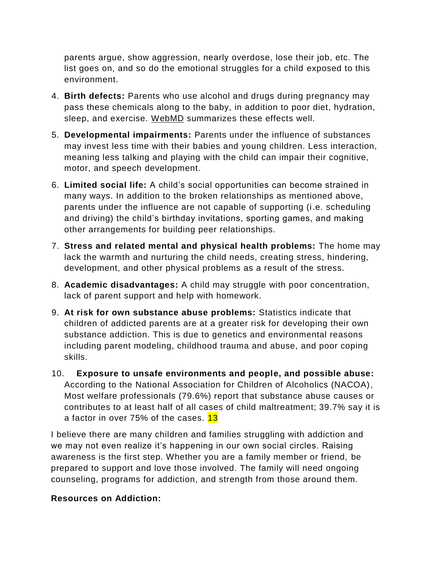parents argue, show aggression, nearly overdose, lose their job, etc. The list goes on, and so do the emotional struggles for a child exposed to this environment.

- 4. **Birth defects:** Parents who use alcohol and drugs during pregnancy may pass these chemicals along to the baby, in addition to poor diet, hydration, sleep, and exercise. [WebMD](http://www.webmd.com/baby/drug-use-and-pregnancy) summarizes these effects well.
- 5. **Developmental impairments:** Parents under the influence of substances may invest less time with their babies and young children. Less interaction, meaning less talking and playing with the child can impair their cognitive, motor, and speech development.
- 6. **Limited social life:** A child's social opportunities can become strained in many ways. In addition to the broken relationships as mentioned above, parents under the influence are not capable of supporting (i.e. scheduling and driving) the child's birthday invitations, sporting games, and making other arrangements for building peer relationships.
- 7. **Stress and related mental and physical health problems:** The home may lack the warmth and nurturing the child needs, creating stress, hindering, development, and other physical problems as a result of the stress.
- 8. **Academic disadvantages:** A child may struggle with poor concentration, lack of parent support and help with homework.
- 9. **At risk for own substance abuse problems:** Statistics indicate that children of addicted parents are at a greater risk for developing their own substance addiction. This is due to genetics and environmental reasons including parent modeling, childhood trauma and abuse, and poor coping skills.
- 10. **Exposure to unsafe environments and people, and possible abuse:**  According to the National Association for Children of Alcoholics (NACOA), Most welfare professionals (79.6%) report that substance abuse causes or contributes to at least half of all cases of child maltreatment; 39.7% say it is a factor in over 75% of the cases. 13

I believe there are many children and families struggling with addiction and we may not even realize it's happening in our own social circles. Raising awareness is the first step. Whether you are a family member or friend, be prepared to support and love those involved. The family will need ongoing counseling, programs for addiction, and strength from those around them.

## **Resources on Addiction:**